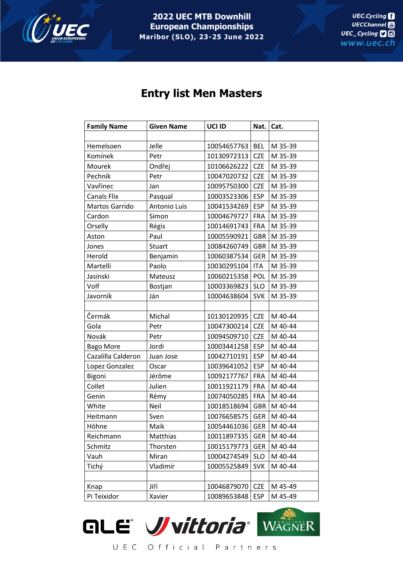

**2022 UEC MTB Downhill European Championships Maribor (SLO), 23-25 June 2022**

## **Entry list Men Masters**

| <b>Family Name</b> | <b>Given Name</b> | UCI ID      | Nat.       | Cat.    |
|--------------------|-------------------|-------------|------------|---------|
|                    |                   |             |            |         |
| Hemelsoen          | Jelle             | 10054657763 | <b>BEL</b> | M 35-39 |
| Komínek            | Petr              | 10130972313 | <b>CZE</b> | M 35-39 |
| Mourek             | Ondřej            | 10106626222 | <b>CZE</b> | M 35-39 |
| Pechník            | Petr              | 10047020732 | <b>CZE</b> | M 35-39 |
| Vavřinec           | Jan               | 10095750300 | <b>CZE</b> | M 35-39 |
| <b>Canals Flix</b> | Pasqual           | 10003523306 | <b>ESP</b> | M 35-39 |
| Martos Garrido     | Antonio Luis      | 10041534269 | <b>ESP</b> | M 35-39 |
| Cardon             | Simon             | 10004679727 | FRA        | M 35-39 |
| Orselly            | Régis             | 10014691743 | <b>FRA</b> | M 35-39 |
| Aston              | Paul              | 10005590921 | <b>GBR</b> | M 35-39 |
| Jones              | Stuart            | 10084260749 | <b>GBR</b> | M 35-39 |
| Herold             | Benjamin          | 10060387534 | <b>GER</b> | M 35-39 |
| Martelli           | Paolo             | 10030295104 | <b>ITA</b> | M 35-39 |
| Jasinski           | Mateusz           | 10060215358 | <b>POL</b> | M 35-39 |
| Volf               | Bostjan           | 10003369823 | <b>SLO</b> | M 35-39 |
| Javorník           | Ján               | 10004638604 | <b>SVK</b> | M 35-39 |
|                    |                   |             |            |         |
| Čermák             | Michal            | 10130120935 | <b>CZE</b> | M 40-44 |
| Gola               | Petr              | 10047300214 | <b>CZE</b> | M 40-44 |
| Novák              | Petr              | 10094509710 | <b>CZE</b> | M 40-44 |
| <b>Bago More</b>   | Jordi             | 10003441258 | <b>ESP</b> | M 40-44 |
| Cazalilla Calderon | Juan Jose         | 10042710191 | <b>ESP</b> | M 40-44 |
| Lopez Gonzalez     | Oscar             | 10039641052 | <b>ESP</b> | M 40-44 |
| Bigoni             | Jérôme            | 10092177767 | <b>FRA</b> | M 40-44 |
| Collet             | Julien            | 10011921179 | <b>FRA</b> | M 40-44 |
| Genin              | Rémy              | 10074050285 | <b>FRA</b> | M 40-44 |
| White              | Neil              | 10018518694 | <b>GBR</b> | M 40-44 |
| Heitmann           | Sven              | 10076658575 | <b>GER</b> | M 40-44 |
| Höhne              | Maik              | 10054461036 | <b>GER</b> | M 40-44 |
| Reichmann          | Matthias          | 10011897335 | <b>GER</b> | M 40-44 |
| Schmitz            | Thorsten          | 10015179773 | <b>GER</b> | M 40-44 |
| Vauh               | Miran             | 10004274549 | <b>SLO</b> | M 40-44 |
| Tichý              | Vladimír          | 10005525849 | <b>SVK</b> | M 40-44 |
|                    |                   |             |            |         |
| Knap               | Jiří              | 10046879070 | <b>CZE</b> | M 45-49 |
| Pi Teixidor        | Xavier            | 10089653848 | <b>ESP</b> | M 45-49 |